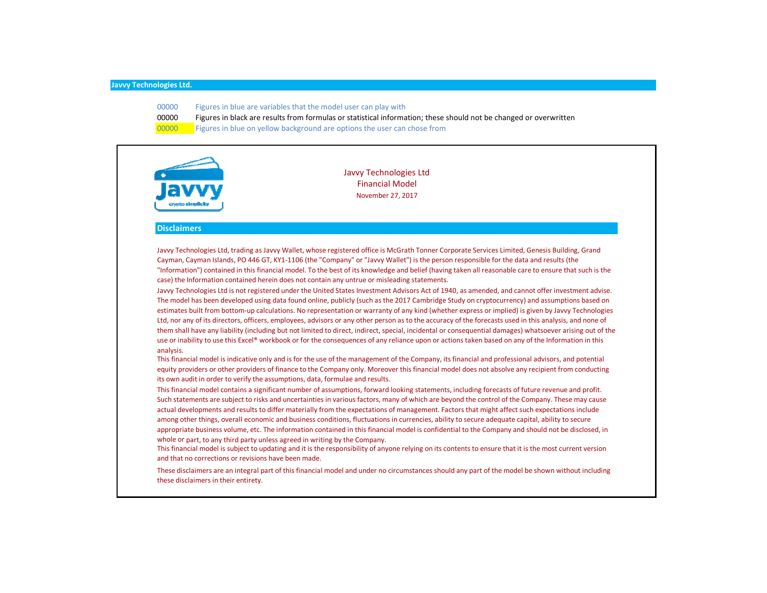- 00000 Figures in blue are variables that the model user can play with
- 00000 Figures in black are results from formulas or statistical information; these should not be changed or overwritten
- 00000 Figures in blue on yellow background are options the user can chose from



Javvy Technologies Ltd Financial Model November 27, 2017

#### **Disclaimers**

Javvy Technologies Ltd, trading as Javvy Wallet, whose registered office is McGrath Tonner Corporate Services Limited, Genesis Building, Grand Cayman, Cayman Islands, PO 446 GT, KY1‐1106 (the "Company" or "Javvy Wallet") is the person responsible for the data and results (the "Information") contained in this financial model. To the best of its knowledge and belief (having taken all reasonable care to ensure that such is the case) the Information contained herein does not contain any untrue or misleading statements.

Javvy Technologies Ltd is not registered under the United States Investment Advisors Act of 1940, as amended, and cannot offer investment advise. The model has been developed using data found online, publicly (such as the 2017 Cambridge Study on cryptocurrency) and assumptions based on estimates built from bottom-up calculations. No representation or warranty of any kind (whether express or implied) is given by Javvy Technologies Ltd, nor any of its directors, officers, employees, advisors or any other person as to the accuracy of the forecasts used in this analysis, and none of them shall have any liability (including but not limited to direct, indirect, special, incidental or consequential damages) whatsoever arising out of the use or inability to use this Excel® workbook or for the consequences of any reliance upon or actions taken based on any of the Information in this analysis.

This financial model is indicative only and is for the use of the management of the Company, its financial and professional advisors, and potential equity providers or other providers of finance to the Company only. Moreover this financial model does not absolve any recipient from conducting its own audit in order to verify the assumptions, data, formulae and results.

This financial model contains a significant number of assumptions, forward looking statements, including forecasts of future revenue and profit. Such statements are subject to risks and uncertainties in various factors, many of which are beyond the control of the Company. These may cause actual developments and results to differ materially from the expectations of management. Factors that might affect such expectations include among other things, overall economic and business conditions, fluctuations in currencies, ability to secure adequate capital, ability to secure appropriate business volume, etc. The information contained in this financial model is confidential to the Company and should not be disclosed, in whole or part, to any third party unless agreed in writing by the Company.

This financial model is subject to updating and it is the responsibility of anyone relying on its contents to ensure that it is the most current version and that no corrections or revisions have been made.

These disclaimers are an integral part of this financial model and under no circumstances should any part of the model be shown without including these disclaimers in their entirety.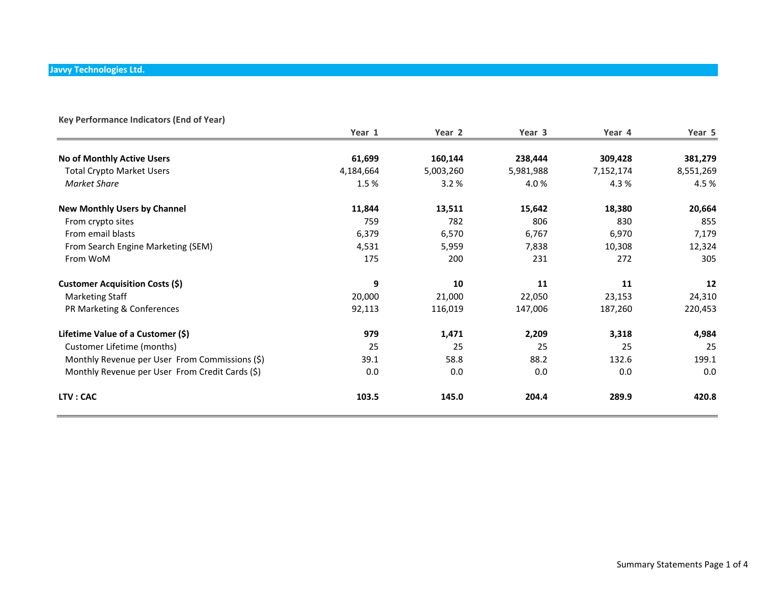| Key Performance Indicators (End of Year)        |           |           |           |           |           |
|-------------------------------------------------|-----------|-----------|-----------|-----------|-----------|
|                                                 | Year 1    | Year 2    | Year 3    | Year 4    | Year 5    |
| No of Monthly Active Users                      | 61,699    | 160,144   | 238,444   | 309,428   | 381,279   |
| <b>Total Crypto Market Users</b>                | 4,184,664 | 5,003,260 | 5,981,988 | 7,152,174 | 8,551,269 |
| Market Share                                    | 1.5%      | 3.2%      | 4.0%      | 4.3%      | 4.5%      |
| <b>New Monthly Users by Channel</b>             | 11,844    | 13,511    | 15,642    | 18,380    | 20,664    |
| From crypto sites                               | 759       | 782       | 806       | 830       | 855       |
| From email blasts                               | 6,379     | 6,570     | 6,767     | 6,970     | 7,179     |
| From Search Engine Marketing (SEM)              | 4,531     | 5,959     | 7,838     | 10,308    | 12,324    |
| From WoM                                        | 175       | 200       | 231       | 272       | 305       |
| <b>Customer Acquisition Costs (\$)</b>          | 9         | 10        | 11        | 11        | 12        |
| <b>Marketing Staff</b>                          | 20,000    | 21,000    | 22,050    | 23,153    | 24,310    |
| PR Marketing & Conferences                      | 92,113    | 116,019   | 147,006   | 187,260   | 220,453   |
| Lifetime Value of a Customer (\$)               | 979       | 1,471     | 2,209     | 3,318     | 4,984     |
| Customer Lifetime (months)                      | 25        | 25        | 25        | 25        | 25        |
| Monthly Revenue per User From Commissions (\$)  | 39.1      | 58.8      | 88.2      | 132.6     | 199.1     |
| Monthly Revenue per User From Credit Cards (\$) | 0.0       | 0.0       | 0.0       | 0.0       | 0.0       |
| LTV: CAC                                        | 103.5     | 145.0     | 204.4     | 289.9     | 420.8     |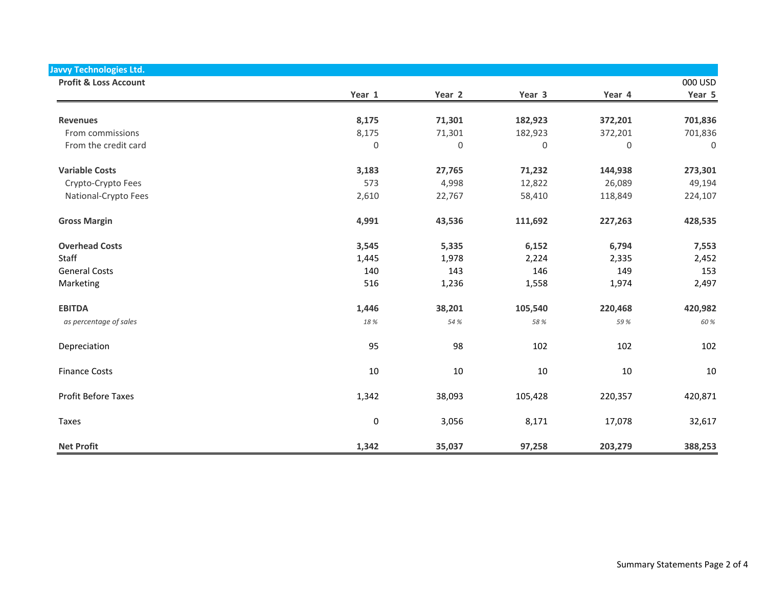| <b>Javvy Technologies Ltd.</b>   |             |             |                     |             |             |
|----------------------------------|-------------|-------------|---------------------|-------------|-------------|
| <b>Profit &amp; Loss Account</b> |             |             |                     |             | 000 USD     |
|                                  | Year 1      | Year 2      | Year 3              | Year 4      | Year 5      |
| <b>Revenues</b>                  | 8,175       | 71,301      | 182,923             | 372,201     | 701,836     |
| From commissions                 | 8,175       | 71,301      | 182,923             | 372,201     | 701,836     |
| From the credit card             | $\mathbf 0$ | $\mathbf 0$ | $\mathsf{O}\xspace$ | $\mathbf 0$ | $\mathbf 0$ |
|                                  |             |             |                     |             |             |
| <b>Variable Costs</b>            | 3,183       | 27,765      | 71,232              | 144,938     | 273,301     |
| Crypto-Crypto Fees               | 573         | 4,998       | 12,822              | 26,089      | 49,194      |
| National-Crypto Fees             | 2,610       | 22,767      | 58,410              | 118,849     | 224,107     |
| <b>Gross Margin</b>              | 4,991       | 43,536      | 111,692             | 227,263     | 428,535     |
| <b>Overhead Costs</b>            | 3,545       | 5,335       | 6,152               | 6,794       | 7,553       |
| Staff                            | 1,445       | 1,978       | 2,224               | 2,335       | 2,452       |
| <b>General Costs</b>             | 140         | 143         | 146                 | 149         | 153         |
| Marketing                        | 516         | 1,236       | 1,558               | 1,974       | 2,497       |
| <b>EBITDA</b>                    | 1,446       | 38,201      | 105,540             | 220,468     | 420,982     |
| as percentage of sales           | 18 %        | 54 %        | 58 %                | 59%         | 60 %        |
| Depreciation                     | 95          | 98          | 102                 | 102         | 102         |
| <b>Finance Costs</b>             | 10          | 10          | 10                  | 10          | 10          |
| Profit Before Taxes              | 1,342       | 38,093      | 105,428             | 220,357     | 420,871     |
| <b>Taxes</b>                     | $\pmb{0}$   | 3,056       | 8,171               | 17,078      | 32,617      |
| <b>Net Profit</b>                | 1,342       | 35,037      | 97,258              | 203,279     | 388,253     |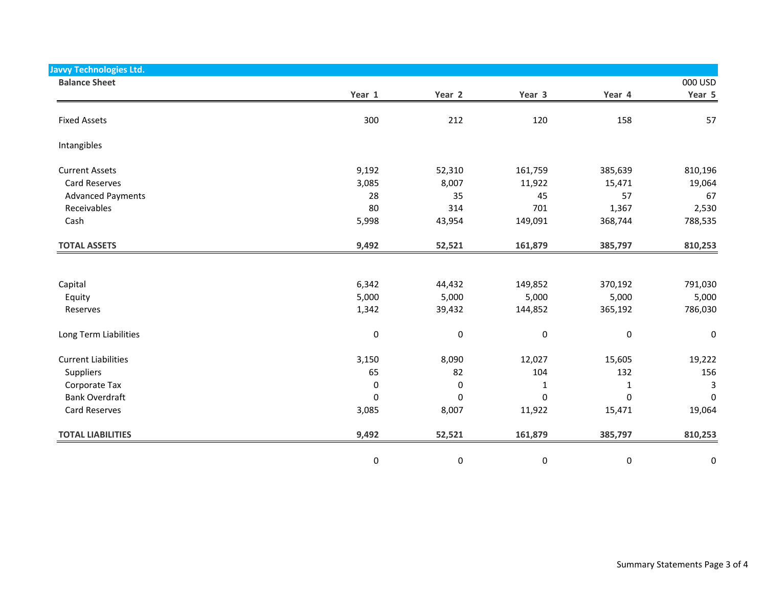| <b>Javvy Technologies Ltd.</b> |           |           |           |              |           |
|--------------------------------|-----------|-----------|-----------|--------------|-----------|
| <b>Balance Sheet</b>           |           |           |           |              | 000 USD   |
|                                | Year 1    | Year 2    | Year 3    | Year 4       | Year 5    |
| <b>Fixed Assets</b>            | 300       | 212       | 120       | 158          | 57        |
| Intangibles                    |           |           |           |              |           |
| <b>Current Assets</b>          | 9,192     | 52,310    | 161,759   | 385,639      | 810,196   |
| Card Reserves                  | 3,085     | 8,007     | 11,922    | 15,471       | 19,064    |
| <b>Advanced Payments</b>       | 28        | 35        | 45        | 57           | 67        |
| Receivables                    | 80        | 314       | 701       | 1,367        | 2,530     |
| Cash                           | 5,998     | 43,954    | 149,091   | 368,744      | 788,535   |
| <b>TOTAL ASSETS</b>            | 9,492     | 52,521    | 161,879   | 385,797      | 810,253   |
|                                |           |           |           |              |           |
| Capital                        | 6,342     | 44,432    | 149,852   | 370,192      | 791,030   |
| Equity                         | 5,000     | 5,000     | 5,000     | 5,000        | 5,000     |
| Reserves                       | 1,342     | 39,432    | 144,852   | 365,192      | 786,030   |
| Long Term Liabilities          | $\pmb{0}$ | 0         | $\pmb{0}$ | $\pmb{0}$    | 0         |
| <b>Current Liabilities</b>     | 3,150     | 8,090     | 12,027    | 15,605       | 19,222    |
| Suppliers                      | 65        | 82        | 104       | 132          | 156       |
| Corporate Tax                  | $\pmb{0}$ | $\pmb{0}$ | 1         | $\mathbf{1}$ | 3         |
| <b>Bank Overdraft</b>          | $\pmb{0}$ | $\pmb{0}$ | 0         | 0            | $\pmb{0}$ |
| Card Reserves                  | 3,085     | 8,007     | 11,922    | 15,471       | 19,064    |
| <b>TOTAL LIABILITIES</b>       | 9,492     | 52,521    | 161,879   | 385,797      | 810,253   |
|                                | 0         | 0         | $\pmb{0}$ | 0            | 0         |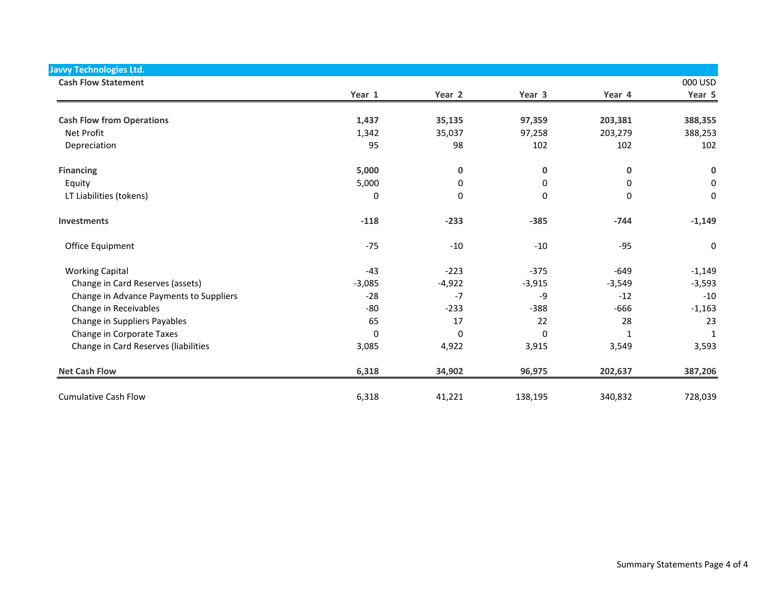| <b>Javvy Technologies Ltd.</b><br><b>Cash Flow Statement</b> |          |          |          |             | 000 USD             |
|--------------------------------------------------------------|----------|----------|----------|-------------|---------------------|
|                                                              | Year 1   | Year 2   | Year 3   | Year 4      | Year 5              |
| <b>Cash Flow from Operations</b>                             | 1,437    | 35,135   | 97,359   | 203,381     | 388,355             |
| Net Profit                                                   | 1,342    | 35,037   | 97,258   | 203,279     | 388,253             |
| Depreciation                                                 | 95       | 98       | 102      | 102         | 102                 |
| <b>Financing</b>                                             | 5,000    | 0        | 0        | $\mathbf 0$ | $\pmb{0}$           |
| Equity                                                       | 5,000    | 0        | 0        | 0           | $\mathbf 0$         |
| LT Liabilities (tokens)                                      | 0        | 0        | 0        | 0           | $\mathsf{O}\xspace$ |
| <b>Investments</b>                                           | $-118$   | $-233$   | $-385$   | $-744$      | $-1,149$            |
| Office Equipment                                             | $-75$    | $-10$    | $-10$    | $-95$       | $\mathbf 0$         |
| <b>Working Capital</b>                                       | $-43$    | $-223$   | $-375$   | $-649$      | $-1,149$            |
| Change in Card Reserves (assets)                             | $-3,085$ | $-4,922$ | $-3,915$ | $-3,549$    | $-3,593$            |
| Change in Advance Payments to Suppliers                      | $-28$    | $-7$     | -9       | $-12$       | $-10$               |
| Change in Receivables                                        | $-80$    | $-233$   | $-388$   | $-666$      | $-1,163$            |
| Change in Suppliers Payables                                 | 65       | 17       | 22       | 28          | 23                  |
| Change in Corporate Taxes                                    | 0        | $\Omega$ | $\Omega$ | $\mathbf 1$ | $\mathbf 1$         |
| Change in Card Reserves (liabilities                         | 3,085    | 4,922    | 3,915    | 3,549       | 3,593               |
| <b>Net Cash Flow</b>                                         | 6,318    | 34,902   | 96,975   | 202,637     | 387,206             |
| <b>Cumulative Cash Flow</b>                                  | 6,318    | 41,221   | 138,195  | 340,832     | 728,039             |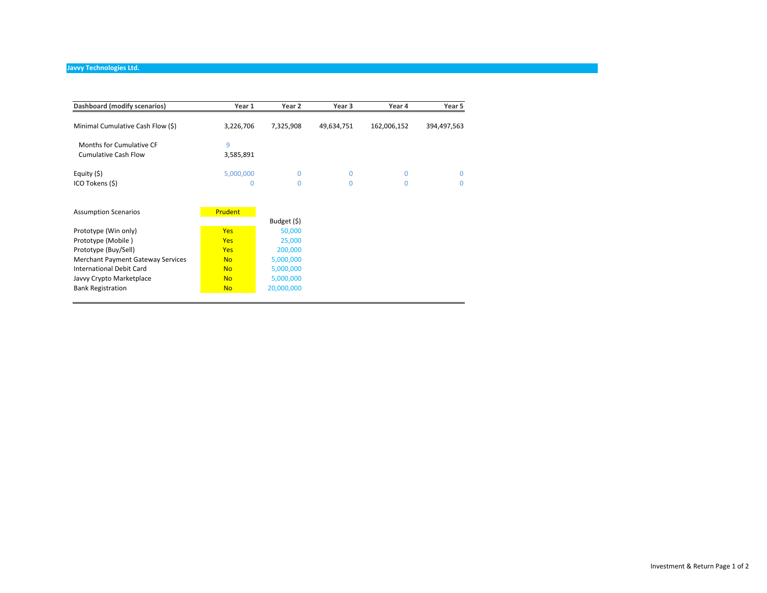| Dashboard (modify scenarios)             | Year 1         | Year 2      | Year 3     | Year 4      | Year 5      |
|------------------------------------------|----------------|-------------|------------|-------------|-------------|
| Minimal Cumulative Cash Flow (\$)        | 3,226,706      | 7,325,908   | 49,634,751 | 162,006,152 | 394,497,563 |
| Months for Cumulative CF                 | 9              |             |            |             |             |
| <b>Cumulative Cash Flow</b>              | 3,585,891      |             |            |             |             |
| Equity (\$)                              | 5,000,000      | $\Omega$    | 0          | 0           | $\Omega$    |
| ICO Tokens (\$)                          | 0              | $\Omega$    | 0          | 0           | $\Omega$    |
|                                          |                |             |            |             |             |
| <b>Assumption Scenarios</b>              | <b>Prudent</b> |             |            |             |             |
|                                          |                | Budget (\$) |            |             |             |
| Prototype (Win only)                     | <b>Yes</b>     | 50,000      |            |             |             |
| Prototype (Mobile)                       | <b>Yes</b>     | 25,000      |            |             |             |
| Prototype (Buy/Sell)                     | <b>Yes</b>     | 200,000     |            |             |             |
| <b>Merchant Payment Gateway Services</b> | <b>No</b>      | 5,000,000   |            |             |             |
| <b>International Debit Card</b>          | <b>No</b>      | 5,000,000   |            |             |             |
|                                          |                |             |            |             |             |
| Javvy Crypto Marketplace                 | <b>No</b>      | 5,000,000   |            |             |             |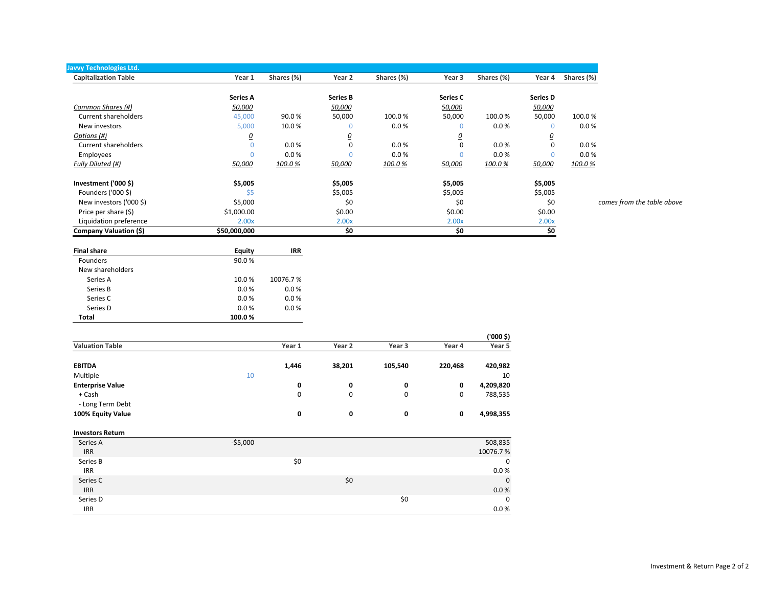| Javvy Technologies Ltd.     |                 |            |                 |            |          |            |                         |            |
|-----------------------------|-----------------|------------|-----------------|------------|----------|------------|-------------------------|------------|
| <b>Capitalization Table</b> | Year 1          | Shares (%) | Year 2          | Shares (%) | Year 3   | Shares (%) | Year 4                  | Shares (%) |
|                             | <b>Series A</b> |            | <b>Series B</b> |            | Series C |            | <b>Series D</b>         |            |
| Common Shares (#)           | 50,000          |            | 50,000          |            | 50,000   |            | 50,000                  |            |
| Current shareholders        | 45,000          | 90.0%      | 50,000          | 100.0%     | 50,000   | 100.0%     | 50,000                  | 100.0%     |
| New investors               | 5,000           | 10.0%      | $\Omega$        | 0.0 %      |          | 0.0%       | 0                       | 0.0 %      |
| Options (#)                 | <u>0</u>        |            | <u>0</u>        |            |          |            | $\overline{\mathbf{0}}$ |            |
| Current shareholders        |                 | 0.0%       | $\mathbf 0$     | 0.0%       | 0        | 0.0%       | 0                       | 0.0 %      |
| Employees                   |                 | 0.0 %      | 0               | 0.0 %      |          | 0.0 %      |                         | 0.0 %      |
| Fully Diluted (#)           | 50,000          | 100.0%     | 50,000          | 100.0%     | 50,000   | 100.0%     | 50,000                  | 100.0%     |
| Investment ('000 $$$ )      | \$5,005         |            | \$5,005         |            | \$5,005  |            | \$5,005                 |            |
| Founders ('000 \$)          | Ś5              |            | \$5,005         |            | \$5,005  |            | \$5,005                 |            |
| New investors ('000 \$)     | \$5,000         |            | \$0             |            | \$0      |            | \$0                     | comes      |
| Price per share (\$)        | \$1,000.00      |            | \$0.00          |            | \$0.00   |            | \$0.00                  |            |
| Liquidation preference      | 2.00x           |            | 2.00x           |            | 2.00x    |            | 2.00x                   |            |
| Company Valuation (\$)      | \$50,000,000    |            | \$0             |            | \$0      |            | \$0                     |            |

**Final share Equity IRR** Founders 90.0 % New shareholders Series A 10.0 % 10076.7 % Series B 0.0 % 0.0 % 0.0 % Series C 0.0 % 0.0 % 0.0 % Series D 0.0 % 0.0 % 0.0 %  **Total 100.0 %**

|                         |           |             |        |         |         | ('000 \$)   |
|-------------------------|-----------|-------------|--------|---------|---------|-------------|
| <b>Valuation Table</b>  |           | Year 1      | Year 2 | Year 3  | Year 4  | Year 5      |
| <b>EBITDA</b>           |           | 1,446       | 38,201 | 105,540 | 220,468 | 420,982     |
| Multiple                | 10        |             |        |         |         | 10          |
| <b>Enterprise Value</b> |           | 0           | 0      | 0       | 0       | 4,209,820   |
| + Cash                  |           | $\mathsf 0$ | 0      | 0       | 0       | 788,535     |
| - Long Term Debt        |           |             |        |         |         |             |
| 100% Equity Value       |           | 0           | 0      | 0       | 0       | 4,998,355   |
| <b>Investors Return</b> |           |             |        |         |         |             |
| Series A                | $-55,000$ |             |        |         |         | 508,835     |
| <b>IRR</b>              |           |             |        |         |         | 10076.7%    |
| Series B                |           | \$0         |        |         |         | $\mathbf 0$ |
| <b>IRR</b>              |           |             |        |         |         | 0.0 %       |
| Series C                |           |             | \$0    |         |         | $\mathbf 0$ |
| <b>IRR</b>              |           |             |        |         |         | 0.0 %       |
| Series D                |           |             |        | \$0     |         | $\mathbf 0$ |
| <b>IRR</b>              |           |             |        |         |         | 0.0%        |

s from the table above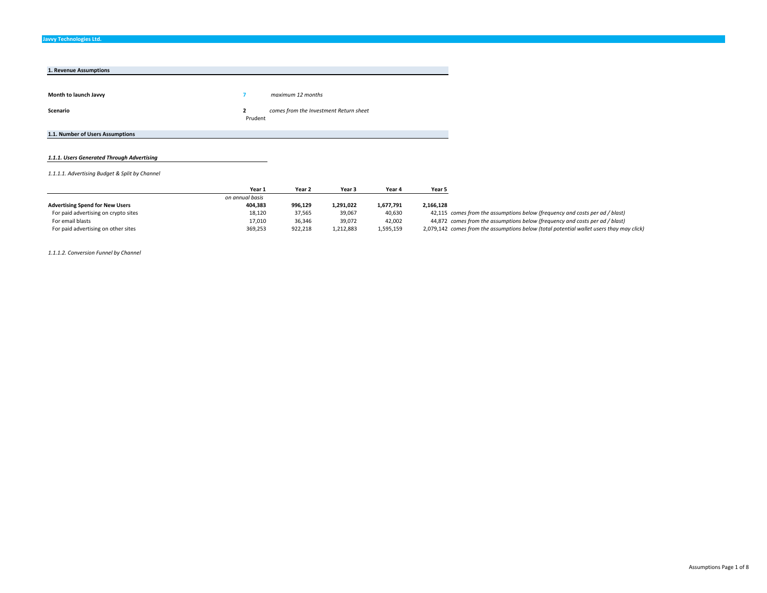| 1. Revenue Assumptions           |                         |                                        |
|----------------------------------|-------------------------|----------------------------------------|
|                                  |                         |                                        |
| Month to launch Javvy            |                         | maximum 12 months                      |
| Scenario                         | $\mathbf{2}$<br>Prudent | comes from the Investment Return sheet |
| 1.1. Number of Users Assumptions |                         |                                        |

#### *1.1.1. Users Generated Through Advertising*

*1.1.1.1. Advertising Budget & Split by Channel*

|                                        | Year 1          | Year 2  | Year 3    | Year 4    | Year 5                                                                                   |
|----------------------------------------|-----------------|---------|-----------|-----------|------------------------------------------------------------------------------------------|
|                                        | on annual basis |         |           |           |                                                                                          |
| <b>Advertising Spend for New Users</b> | 404.383         | 996,129 | 1,291,022 | 1.677.791 | 2,166,128                                                                                |
| For paid advertising on crypto sites   | 18,120          | 37,565  | 39,067    | 40,630    | 42,115 comes from the assumptions below (frequency and costs per ad / blast)             |
| For email blasts                       | 17,010          | 36,346  | 39,072    | 42.002    | 44,872 comes from the assumptions below (frequency and costs per ad / blast)             |
| For paid advertising on other sites    | 369,253         | 922,218 | 1,212,883 | 1,595,159 | 2,079,142 comes from the assumptions below (total potential wallet users thay may click) |

*1.1.1.2. Conversion Funnel by Channel*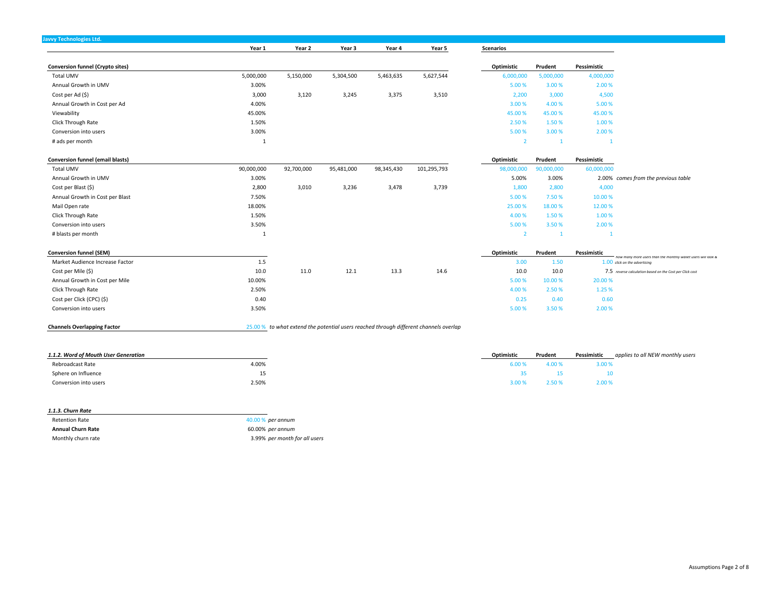|                                         | Year 1       | Year 2     | Year 3     | Year 4     | Year 5                                                                                | <b>Scenarios</b> |                |             |                                                                                               |
|-----------------------------------------|--------------|------------|------------|------------|---------------------------------------------------------------------------------------|------------------|----------------|-------------|-----------------------------------------------------------------------------------------------|
| <b>Conversion funnel (Crypto sites)</b> |              |            |            |            |                                                                                       | Optimistic       | Prudent        | Pessimistic |                                                                                               |
| <b>Total UMV</b>                        | 5,000,000    | 5,150,000  | 5,304,500  | 5,463,635  | 5,627,544                                                                             | 6,000,000        | 5,000,000      | 4,000,000   |                                                                                               |
| Annual Growth in UMV                    | 3.00%        |            |            |            |                                                                                       | 5.00 %           | 3.00%          | 2.00 %      |                                                                                               |
| Cost per Ad (\$)                        | 3,000        | 3,120      | 3,245      | 3,375      | 3,510                                                                                 | 2,200            | 3,000          | 4,500       |                                                                                               |
| Annual Growth in Cost per Ad            | 4.00%        |            |            |            |                                                                                       | 3.00 %           | 4.00%          | 5.00%       |                                                                                               |
| Viewability                             | 45.00%       |            |            |            |                                                                                       | 45.00 %          | 45.00%         | 45.00%      |                                                                                               |
| Click Through Rate                      | 1.50%        |            |            |            |                                                                                       | 2.50%            | 1.50%          | 1.00 %      |                                                                                               |
| Conversion into users                   | 3.00%        |            |            |            |                                                                                       | 5.00 %           | 3.00%          | 2.00 %      |                                                                                               |
| # ads per month                         |              |            |            |            |                                                                                       | $\overline{2}$   |                |             |                                                                                               |
| <b>Conversion funnel (email blasts)</b> |              |            |            |            |                                                                                       | Optimistic       | Prudent        | Pessimistic |                                                                                               |
| Total UMV                               | 90,000,000   | 92,700,000 | 95,481,000 | 98,345,430 | 101,295,793                                                                           | 98,000,000       | 90,000,000     | 60,000,000  |                                                                                               |
| Annual Growth in UMV                    | 3.00%        |            |            |            |                                                                                       | 5.00%            | 3.00%          |             | 2.00% comes from the previous table                                                           |
| Cost per Blast (\$)                     | 2,800        | 3,010      | 3,236      | 3,478      | 3,739                                                                                 | 1,800            | 2,800          | 4,000       |                                                                                               |
| Annual Growth in Cost per Blast         | 7.50%        |            |            |            |                                                                                       | 5.00 %           | 7.50%          | 10.00%      |                                                                                               |
| Mail Open rate                          | 18.00%       |            |            |            |                                                                                       | 25.00 %          | 18.00 %        | 12.00%      |                                                                                               |
| Click Through Rate                      | 1.50%        |            |            |            |                                                                                       | 4.00%            | 1.50%          | 1.00 %      |                                                                                               |
| Conversion into users                   | 3.50%        |            |            |            |                                                                                       | 5.00 %           | 3.50%          | 2.00 %      |                                                                                               |
| # blasts per month                      | $\mathbf{1}$ |            |            |            |                                                                                       | $\overline{2}$   | $\overline{1}$ |             |                                                                                               |
| <b>Conversion funnel (SEM)</b>          |              |            |            |            |                                                                                       | Optimistic       | Prudent        | Pessimistic |                                                                                               |
| Market Audience Increase Factor         | 1.5          |            |            |            |                                                                                       | 3.00             | 1.50           |             | ow many more users than the monthly wallet users will look &<br>1.00 click on the advertising |
| Cost per Mile (\$)                      | 10.0         | 11.0       | 12.1       | 13.3       | 14.6                                                                                  | 10.0             | 10.0           |             | 7.5 reverse calculation based on the Cost per Click cost                                      |
| Annual Growth in Cost per Mile          | 10.00%       |            |            |            |                                                                                       | 5.00 %           | 10.00 %        | 20.00%      |                                                                                               |
| Click Through Rate                      | 2.50%        |            |            |            |                                                                                       | 4.00%            | 2.50%          | 1.25 %      |                                                                                               |
| Cost per Click (CPC) (\$)               | 0.40         |            |            |            |                                                                                       | 0.25             | 0.40           | 0.60        |                                                                                               |
| Conversion into users                   | 3.50%        |            |            |            |                                                                                       | 5.00 %           | 3.50%          | 2.00 %      |                                                                                               |
| <b>Channels Overlapping Factor</b>      |              |            |            |            | 25.00 % to what extend the potential users reached through different channels overlap |                  |                |             |                                                                                               |

| 1.1.2. Word of Mouth User Generation | Optimistic | Prudent | Pessimistic | applies to all NEW monthly users |
|--------------------------------------|------------|---------|-------------|----------------------------------|
| 4.00%<br>Rebroadcast Rate            | 5.00 %     |         | 3.00 %      |                                  |
| 15<br>∸                              |            |         |             |                                  |
| 2.50%<br>Conversion into users       | 3.00%      | 2.50%   | 2.00%       |                                  |

| 1.1.3. Churn Rate        |                               |
|--------------------------|-------------------------------|
| <b>Retention Rate</b>    | 40.00 % per annum             |
| <b>Annual Churn Rate</b> | 60.00% per annum              |
| Monthly churn rate       | 3.99% per month for all users |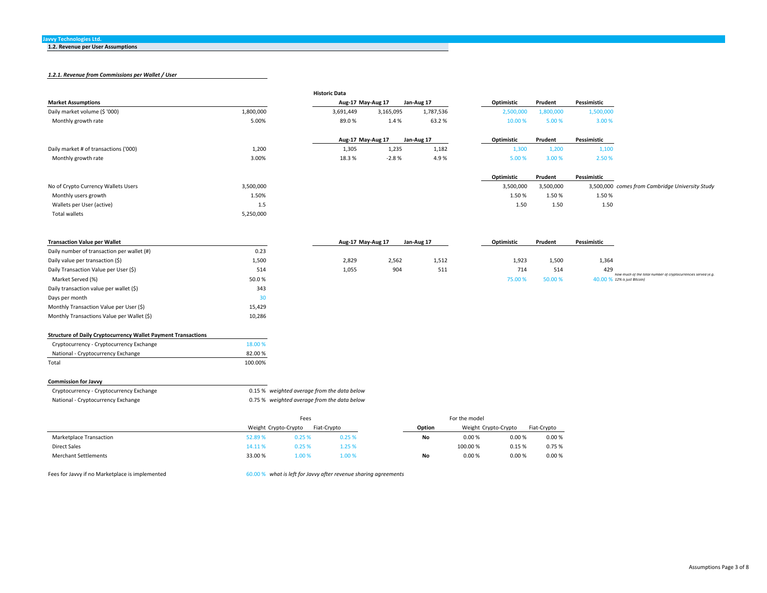**1.2. Revenue per User Assumptions**

## *1.2.1. Revenue from Commissions per Wallet / User*

|                                                                      |                      |        | <b>Historic Data</b>                        |           |            |               |                      |             |             |                                                              |
|----------------------------------------------------------------------|----------------------|--------|---------------------------------------------|-----------|------------|---------------|----------------------|-------------|-------------|--------------------------------------------------------------|
| <b>Market Assumptions</b>                                            |                      |        | Aug-17 May-Aug 17                           |           | Jan-Aug 17 |               | Optimistic           | Prudent     | Pessimistic |                                                              |
| Daily market volume (\$ '000)                                        | 1,800,000            |        | 3,691,449                                   | 3,165,095 | 1,787,536  |               | 2,500,000            | 1,800,000   | 1,500,000   |                                                              |
| Monthly growth rate                                                  | 5.00%                |        | 89.0%                                       | 1.4%      | 63.2%      |               | 10.00 %              | 5.00%       | 3.00 %      |                                                              |
|                                                                      |                      |        | Aug-17 May-Aug 17                           |           | Jan-Aug 17 |               | Optimistic           | Prudent     | Pessimistic |                                                              |
| Daily market # of transactions ('000)                                | 1,200                |        | 1,305                                       | 1,235     | 1,182      |               | 1,300                | 1,200       | 1,100       |                                                              |
| Monthly growth rate                                                  | 3.00%                |        | 18.3%                                       | $-2.8%$   | 4.9%       |               | 5.00 %               | 3.00%       | 2.50%       |                                                              |
|                                                                      |                      |        |                                             |           |            |               | Optimistic           | Prudent     | Pessimistic |                                                              |
| No of Crypto Currency Wallets Users                                  | 3,500,000            |        |                                             |           |            |               | 3,500,000            | 3,500,000   |             | 3,500,000 comes from Cambridge University Study              |
| Monthly users growth                                                 | 1.50%                |        |                                             |           |            |               | 1.50%                | 1.50%       | 1.50%       |                                                              |
| Wallets per User (active)                                            | 1.5                  |        |                                             |           |            |               | 1.50                 | 1.50        | 1.50        |                                                              |
| <b>Total wallets</b>                                                 | 5,250,000            |        |                                             |           |            |               |                      |             |             |                                                              |
|                                                                      |                      |        |                                             |           |            |               |                      |             |             |                                                              |
| <b>Transaction Value per Wallet</b>                                  |                      |        | Aug-17 May-Aug 17                           |           | Jan-Aug 17 |               | Optimistic           | Prudent     | Pessimistic |                                                              |
| Daily number of transaction per wallet (#)                           | 0.23                 |        |                                             |           |            |               |                      |             |             |                                                              |
| Daily value per transaction (\$)                                     | 1,500                |        | 2,829                                       | 2,562     | 1,512      |               | 1,923                | 1,500       | 1,364       |                                                              |
| Daily Transaction Value per User (\$)                                | 514                  |        | 1,055                                       | 904       | 511        |               | 714                  | 514         | 429         | how much of the total number of cryptocurrencies served (e.g |
| Market Served (%)                                                    | 50.0%                |        |                                             |           |            |               | 75.00 %              | 50.00 %     |             | 40.00 % 12% is just Bitcoin)                                 |
| Daily transaction value per wallet (\$)                              | 343                  |        |                                             |           |            |               |                      |             |             |                                                              |
| Days per month                                                       | 30                   |        |                                             |           |            |               |                      |             |             |                                                              |
| Monthly Transaction Value per User (\$)                              | 15,429               |        |                                             |           |            |               |                      |             |             |                                                              |
| Monthly Transactions Value per Wallet (\$)                           | 10,286               |        |                                             |           |            |               |                      |             |             |                                                              |
| <b>Structure of Daily Cryptocurrency Wallet Payment Transactions</b> |                      |        |                                             |           |            |               |                      |             |             |                                                              |
| Cryptocurrency - Cryptocurrency Exchange                             | 18.00 %              |        |                                             |           |            |               |                      |             |             |                                                              |
| National - Cryptocurrency Exchange                                   | 82.00%               |        |                                             |           |            |               |                      |             |             |                                                              |
| Total                                                                | 100.00%              |        |                                             |           |            |               |                      |             |             |                                                              |
| <b>Commission for Javvy</b>                                          |                      |        |                                             |           |            |               |                      |             |             |                                                              |
| Cryptocurrency - Cryptocurrency Exchange                             |                      |        | 0.15 % weighted average from the data below |           |            |               |                      |             |             |                                                              |
| National - Cryptocurrency Exchange                                   |                      |        | 0.75 % weighted average from the data below |           |            |               |                      |             |             |                                                              |
|                                                                      |                      | Fees   |                                             |           |            | For the model |                      |             |             |                                                              |
|                                                                      | Weight Crypto-Crypto |        | Fiat-Crypto                                 |           | Option     |               | Weight Crypto-Crypto | Fiat-Crypto |             |                                                              |
| Marketplace Transaction                                              | 52.89%               | 0.25 % | 0.25%                                       |           | No         | 0.00%         | 0.00%                | 0.00%       |             |                                                              |
| <b>Direct Sales</b>                                                  | 14.11%               | 0.25 % | 1.25 %                                      |           |            | 100.00%       | 0.15%                | 0.75%       |             |                                                              |
| <b>Merchant Settlements</b>                                          | 33.00 %              | 1.00 % | 1.00%                                       |           | No         | 0.00%         | 0.00%                | 0.00%       |             |                                                              |

Fees for Javvy if no Marketplace is implemented 60.00 %  *what is left for Javvy after revenue sharing agreements*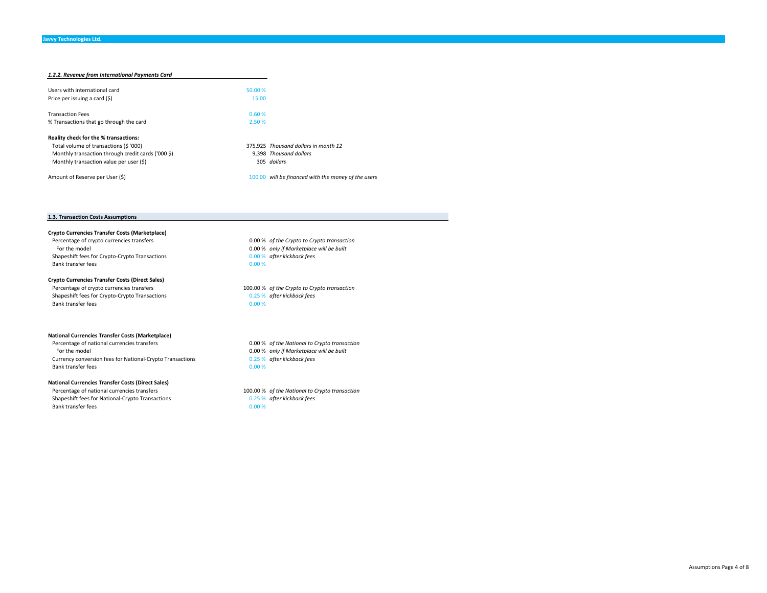| 1.2.2. Revenue from International Payments Card    |         |                                                     |
|----------------------------------------------------|---------|-----------------------------------------------------|
| Users with international card                      | 50.00 % |                                                     |
| Price per issuing a card (\$)                      | 15.00   |                                                     |
| <b>Transaction Fees</b>                            | 0.60%   |                                                     |
| % Transactions that go through the card            | 2.50 %  |                                                     |
| Reality check for the % transactions:              |         |                                                     |
| Total volume of transactions (\$ '000)             |         | 375.925 Thousand dollars in month 12                |
| Monthly transaction through credit cards ('000 \$) |         | 9.398 Thousand dollars                              |
| Monthly transaction value per user (\$)            |         | 305 dollars                                         |
| Amount of Reserve per User (\$)                    |         | 100.00 will be financed with the money of the users |

#### **1.3. Transaction Costs Assumptions**

**Crypto Currencies Transfer Costs (Marketplace)** Percentage of crypto currencies transfers 0.00 %  *of the Crypto to Crypto transaction* For the model 0.00 %  *only if Marketplace will be built* Shapeshift fees for Crypto-Crypto Transactions 0.00 % *after kickback fees*  Bank transfer feess and  $0.00\%$ 

#### **Crypto Currencies Transfer Costs (Direct Sales)**

 Percentage of crypto currencies transfers 100.00 %  *of the Crypto to Crypto transaction* Shapeshift fees for Crypto-Crypto Transactions **0.25 %** *after kickback fees* Bank transfer fees

#### **National Currencies Transfer Costs (Marketplace)**

 Percentage of national currencies transfers 0.00 %  *of the National to Crypto transaction* For the model 0.00 %  *only if Marketplace will be built* Currency conversion fees for National‐Crypto Transactions 0.25 %  *after kickback fees* Bank transfer fees $\sim$  0.00 %

#### **National Currencies Transfer Costs (Direct Sales)**

Shapeshift fees for National-Crypto Transactions **0.25 %** after kickback fees Bank transfer fees $\sim$  0.00 %

0.00 %

Percentage of national currencies transfers 100.00 %  *of the National to Crypto transaction*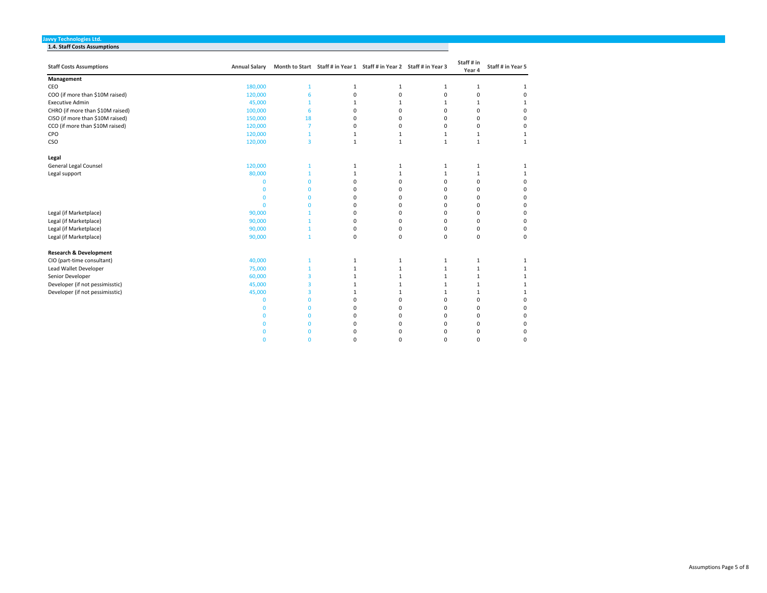#### **Javvy Technologies Ltd. 1.4. Staff Costs Assumptions**

| <b>Staff Costs Assumptions</b>    | <b>Annual Salary</b> |                         | Month to Start Staff # in Year 1 Staff # in Year 2 Staff # in Year 3 |              |              | Staff # in<br>Year 4 | Staff # in Year 5 |
|-----------------------------------|----------------------|-------------------------|----------------------------------------------------------------------|--------------|--------------|----------------------|-------------------|
| Management                        |                      |                         |                                                                      |              |              |                      |                   |
| CEO                               | 180,000              | 1                       | 1                                                                    | 1            | 1            | 1                    | 1                 |
| COO (if more than \$10M raised)   | 120,000              | 6                       | 0                                                                    | $\mathbf 0$  | 0            | 0                    | $\Omega$          |
| <b>Executive Admin</b>            | 45,000               | 1                       | $\mathbf{1}$                                                         | $\mathbf{1}$ | 1            | 1                    | 1                 |
| CHRO (if more than \$10M raised)  | 100,000              | 6                       | 0                                                                    | 0            | 0            | 0                    | 0                 |
| CISO (if more than \$10M raised)  | 150,000              | 18                      | 0                                                                    | $\Omega$     | $\Omega$     | 0                    | 0                 |
| CCO (if more than \$10M raised)   | 120,000              | $\overline{7}$          | 0                                                                    | 0            | 0            | 0                    | 0                 |
| CPO                               | 120,000              | $\mathbf{1}$            | 1                                                                    | 1            | 1            | $\mathbf 1$          | 1                 |
| CSO                               | 120,000              | $\overline{3}$          | $\mathbf{1}$                                                         | $\mathbf{1}$ | $\mathbf{1}$ | $\mathbf 1$          | $\mathbf{1}$      |
| Legal                             |                      |                         |                                                                      |              |              |                      |                   |
| General Legal Counsel             | 120,000              | 1                       | 1                                                                    | 1            | 1            | 1                    | $\mathbf{1}$      |
| Legal support                     | 80,000               | $\mathbf{1}$            | $\mathbf{1}$                                                         | $\mathbf{1}$ | $\mathbf{1}$ | $\mathbf 1$          | 1                 |
|                                   | $\mathbf{0}$         | $\Omega$                | $\Omega$                                                             | $\Omega$     | 0            | 0                    | 0                 |
|                                   | $\mathbf 0$          | $\Omega$                | $\Omega$                                                             | $\Omega$     | 0            | 0                    | 0                 |
|                                   | $\Omega$             | $\Omega$                | $\Omega$                                                             | $\Omega$     | 0            | 0                    | $\Omega$          |
|                                   | $\mathbf 0$          | $\Omega$                | $\Omega$                                                             | $\Omega$     | O            | 0                    | 0                 |
| Legal (if Marketplace)            | 90,000               |                         | $\Omega$                                                             | $\Omega$     | $\Omega$     | 0                    | 0                 |
| Legal (if Marketplace)            | 90,000               |                         | $\Omega$                                                             | 0            | 0            | 0                    | $\Omega$          |
| Legal (if Marketplace)            | 90,000               | $\mathbf{1}$            | 0                                                                    | 0            | 0            | 0                    | 0                 |
| Legal (if Marketplace)            | 90,000               | $\mathbf{1}$            | $\mathbf 0$                                                          | $\mathbf 0$  | 0            | 0                    | $\mathbf 0$       |
| <b>Research &amp; Development</b> |                      |                         |                                                                      |              |              |                      |                   |
| CIO (part-time consultant)        | 40,000               | 1                       | 1                                                                    | 1            | 1            | 1                    | 1                 |
| Lead Wallet Developer             | 75,000               | $\mathbf{1}$            | $\mathbf 1$                                                          | $\mathbf{1}$ | $\mathbf{1}$ | $\mathbf 1$          |                   |
| Senior Developer                  | 60,000               | 3                       | 1                                                                    | 1            | 1            | 1                    | 1                 |
| Developer (if not pessimisstic)   | 45,000               | 3                       | 1                                                                    | $\mathbf{1}$ | 1            | 1                    | 1                 |
| Developer (if not pessimisstic)   | 45,000               | $\overline{\mathbf{3}}$ | 1                                                                    | 1            | 1            | 1                    | 1                 |
|                                   | $\mathbf{0}$         | $\mathbf 0$             | $\Omega$                                                             | $\Omega$     | $\Omega$     | 0                    | 0                 |
|                                   | $\mathbf{0}$         | $\mathbf 0$             | $\Omega$                                                             | $\Omega$     | $\Omega$     | 0                    | 0                 |
|                                   | $\mathbf{0}$         | $\mathbf 0$             | $\Omega$                                                             | $\Omega$     | $\Omega$     | 0                    | 0                 |
|                                   | $\mathbf 0$          | $\mathbf 0$             | 0                                                                    | $\Omega$     | 0            | 0                    | $\mathbf 0$       |
|                                   | n                    | $\Omega$                | $\Omega$                                                             | $\Omega$     | U            | 0                    | 0                 |
|                                   | $\Omega$             | $\Omega$                | $\Omega$                                                             | n            | n            | O                    | $\Omega$          |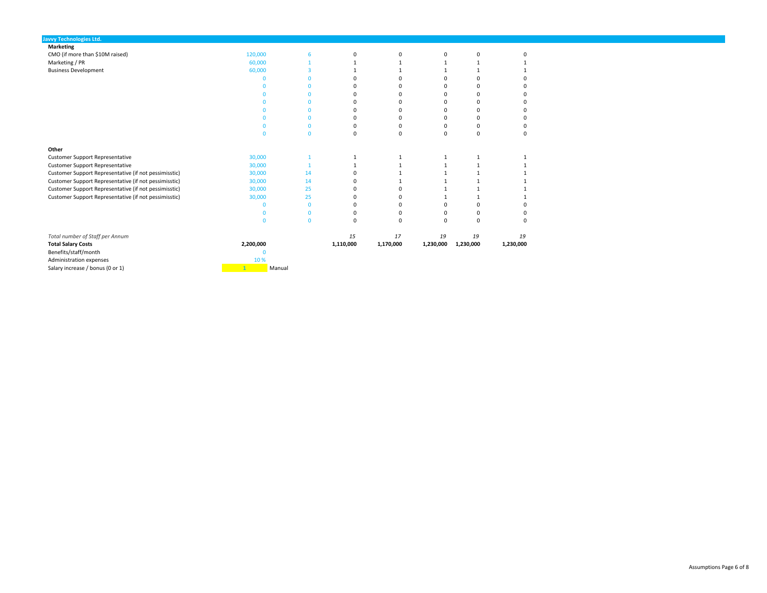| <b>Javvy Technologies Ltd.</b>                        |           |              |              |           |              |             |           |
|-------------------------------------------------------|-----------|--------------|--------------|-----------|--------------|-------------|-----------|
| <b>Marketing</b>                                      |           |              |              |           |              |             |           |
| CMO (if more than \$10M raised)                       | 120,000   | 6            | 0            | 0         | 0            | 0           | O         |
| Marketing / PR                                        | 60,000    | 1            |              |           |              |             |           |
| <b>Business Development</b>                           | 60,000    | 3            |              |           | $\mathbf{1}$ | 1           |           |
|                                                       | n         | $\Omega$     | $\Omega$     |           | $\mathbf 0$  | 0           | O         |
|                                                       | n.        | $\Omega$     | $\Omega$     |           | $\Omega$     | 0           |           |
|                                                       | n         | $\Omega$     | $\Omega$     | $\Omega$  | $\Omega$     | $\Omega$    |           |
|                                                       | n.        | $\Omega$     | $\Omega$     | n         | $\Omega$     | $\Omega$    | n         |
|                                                       | n         | $\Omega$     | $\Omega$     | $\Omega$  | 0            | 0           | O         |
|                                                       | n.        | $\Omega$     | $\Omega$     | n         | $\Omega$     | $\Omega$    |           |
|                                                       | n         | $\Omega$     | $\Omega$     | $\Omega$  | 0            | 0           |           |
|                                                       | n         | $\Omega$     | 0            | $\Omega$  | $\mathbf 0$  | 0           | 0         |
| Other                                                 |           |              |              |           |              |             |           |
| <b>Customer Support Representative</b>                | 30,000    | $\mathbf{1}$ | $\mathbf{1}$ | 1         | 1            | 1           |           |
| <b>Customer Support Representative</b>                | 30,000    |              |              |           | 1            | 1           |           |
| Customer Support Representative (if not pessimisstic) | 30,000    | 14           | $\Omega$     |           |              |             |           |
| Customer Support Representative (if not pessimisstic) | 30,000    | 14           | n            |           |              | 1           |           |
| Customer Support Representative (if not pessimisstic) | 30,000    | 25           | $\Omega$     |           |              |             |           |
| Customer Support Representative (if not pessimisstic) | 30,000    | 25           | $\Omega$     | n         | 1            | 1           |           |
|                                                       | $\Omega$  | $\mathbf{0}$ | 0            | $\Omega$  | 0            | $\mathbf 0$ |           |
|                                                       | n         | $\Omega$     | 0            | $\Omega$  | 0            | 0           | O         |
|                                                       | n         | $\mathbf{0}$ | 0            | $\Omega$  | $\mathbf 0$  | $\mathbf 0$ | 0         |
| Total number of Staff per Annum                       |           |              | 15           | 17        | 19           | 19          | 19        |
| <b>Total Salary Costs</b>                             | 2,200,000 |              | 1,110,000    | 1,170,000 | 1,230,000    | 1,230,000   | 1,230,000 |
| Benefits/staff/month                                  | $\Omega$  |              |              |           |              |             |           |
| Administration expenses                               | 10 %      |              |              |           |              |             |           |
| Salary increase / bonus (0 or 1)                      |           | Manual       |              |           |              |             |           |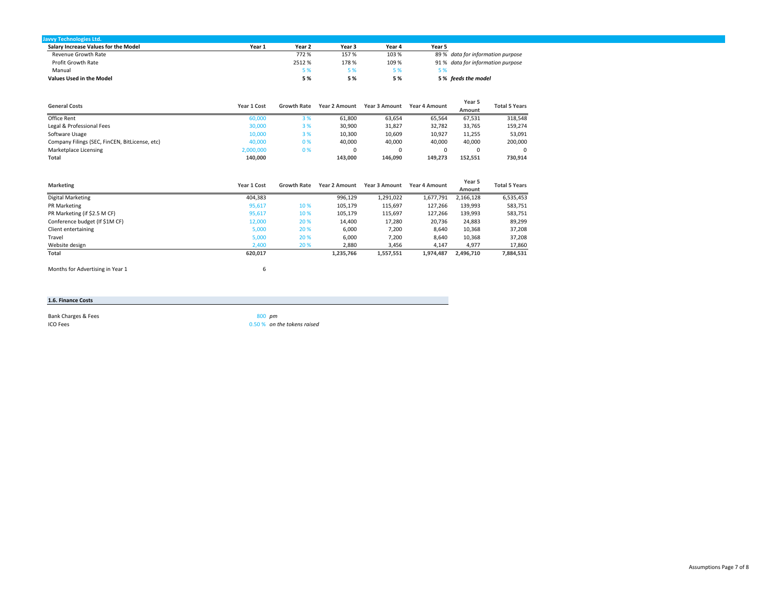| <b>Javvy Technologies Ltd.</b>       |        |        |        |        |                                   |
|--------------------------------------|--------|--------|--------|--------|-----------------------------------|
| Salary Increase Values for the Model | Year 1 | Year 2 | Year 3 | Year 4 | Year 5                            |
| Revenue Growth Rate                  |        | 772 %  | 157%   | 103 %  | 89 % data for information purpose |
| Profit Growth Rate                   |        | 2512 % | 178 %  | 109 %  | 91 % data for information purpose |
| Manual                               |        | 5 %    | 5 %    |        | 5 %                               |
| <b>Values Used in the Model</b>      |        | 5%     | 5 %    | 5 %    | 5% feeds the model                |

| <b>General Costs</b>                           | Year 1 Cost | <b>Growth Rate</b> | <b>Year 2 Amount</b> | Year 3 Amount | Year 4 Amount | Year 5<br>Amount | <b>Total 5 Years</b> |
|------------------------------------------------|-------------|--------------------|----------------------|---------------|---------------|------------------|----------------------|
| Office Rent                                    | 60,000      | 3 %                | 61,800               | 63,654        | 65.564        | 67,531           | 318,548              |
| Legal & Professional Fees                      | 30,000      | 3%                 | 30.900               | 31,827        | 32.782        | 33.765           | 159,274              |
| Software Usage                                 | 10,000      | 3%                 | 10,300               | 10,609        | 10,927        | 11,255           | 53,091               |
| Company Filings (SEC, FinCEN, BitLicense, etc) | 40,000      | 0%                 | 40.000               | 40.000        | 40.000        | 40.000           | 200,000              |
| Marketplace Licensing                          | 2,000,000   | 0%                 |                      |               |               |                  | $\Omega$             |
| Total                                          | 140.000     |                    | 143.000              | 146.090       | 149.273       | 152.551          | 730,914              |

| <b>Marketing</b>               | Year 1 Cost | <b>Growth Rate</b> | <b>Year 2 Amount</b> | <b>Year 3 Amount</b> | <b>Year 4 Amount</b> | Year 5<br>Amount | <b>Total 5 Years</b> |
|--------------------------------|-------------|--------------------|----------------------|----------------------|----------------------|------------------|----------------------|
| Digital Marketing              | 404,383     |                    | 996,129              | 1,291,022            | 1,677,791            | 2,166,128        | 6,535,453            |
| PR Marketing                   | 95,617      | 10 %               | 105,179              | 115,697              | 127,266              | 139,993          | 583,751              |
| PR Marketing (if \$2.5 M CF)   | 95,617      | 10%                | 105,179              | 115,697              | 127.266              | 139,993          | 583,751              |
| Conference budget (If \$1M CF) | 12,000      | 20 %               | 14,400               | 17,280               | 20,736               | 24,883           | 89,299               |
| Client entertaining            | 5,000       | 20 %               | 6,000                | 7,200                | 8,640                | 10,368           | 37,208               |
| Travel                         | 5,000       | 20 %               | 6,000                | 7,200                | 8,640                | 10,368           | 37,208               |
| Website design                 | 2,400       | 20 %               | 2,880                | 3,456                | 4,147                | 4,977            | 17,860               |
| Total                          | 620,017     |                    | 1,235,766            | 1,557,551            | 1,974,487            | 2,496,710        | 7,884,531            |

Months for Advertising in Year 1 6

#### **1.6. Finance Costs**

Bank Charges & Fees 800 **pm** ICO Feess to the contract of  $\sim$  0.50 % and  $\sim$  0.50 %

 *on the tokens raised*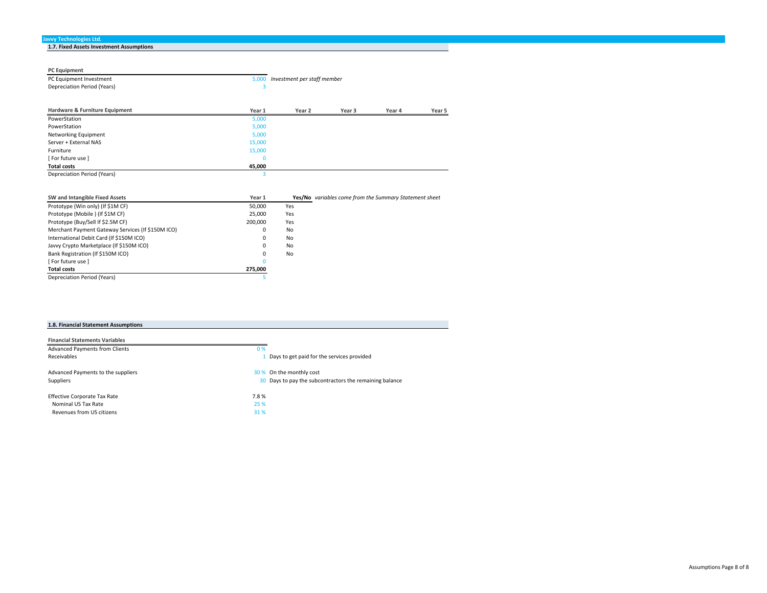| 1.7. Fixed Assets Investment Assumptions |  |
|------------------------------------------|--|
|                                          |  |
|                                          |  |

| <b>PC Equipment</b>                                                                  |           |                             |                                                        |        |        |
|--------------------------------------------------------------------------------------|-----------|-----------------------------|--------------------------------------------------------|--------|--------|
| PC Equipment Investment                                                              | 5,000     | Investment per staff member |                                                        |        |        |
| Depreciation Period (Years)                                                          | 3         |                             |                                                        |        |        |
|                                                                                      |           |                             |                                                        |        |        |
| Hardware & Furniture Equipment                                                       | Year 1    | Year 2                      | Year 3                                                 | Year 4 | Year 5 |
| PowerStation                                                                         | 5,000     |                             |                                                        |        |        |
| PowerStation                                                                         | 5,000     |                             |                                                        |        |        |
| Networking Equipment                                                                 | 5,000     |                             |                                                        |        |        |
| Server + External NAS                                                                | 15,000    |                             |                                                        |        |        |
| Furniture                                                                            | 15,000    |                             |                                                        |        |        |
| [ For future use ]                                                                   | $\Omega$  |                             |                                                        |        |        |
| <b>Total costs</b>                                                                   | 45,000    |                             |                                                        |        |        |
| Depreciation Period (Years)                                                          | 3         |                             |                                                        |        |        |
|                                                                                      |           |                             |                                                        |        |        |
| SW and Intangible Fixed Assets                                                       | Year 1    |                             | Yes/No variables come from the Summary Statement sheet |        |        |
| Prototype (Win only) (If \$1M CF)                                                    | 50,000    | Yes                         |                                                        |        |        |
| Prototype (Mobile) (If \$1M CF)                                                      | 25,000    | Yes                         |                                                        |        |        |
| $P_{\text{max}}$ $P_{\text{max}}$ $P_{\text{max}}$ $P_{\text{max}}$ $P_{\text{max}}$ | $200.000$ | $\cdots$                    |                                                        |        |        |

| Prototype (IVIODIIE ) (IT SIIVI CF)               | 25.UUU  | <b>res</b> |
|---------------------------------------------------|---------|------------|
| Prototype (Buy/Sell If \$2.5M CF)                 | 200.000 | Yes        |
| Merchant Payment Gateway Services (If \$150M ICO) | 0       | No         |
| International Debit Card (If \$150M ICO)          | Ω       | No         |
| Javvy Crypto Marketplace (If \$150M ICO)          | Ω       | No         |
| Bank Registration (If \$150M ICO)                 | Ω       | No         |
| l For future use 1                                |         |            |
| <b>Total costs</b>                                | 275.000 |            |
| Depreciation Period (Years)                       |         |            |

| 1.8. Financial Statement Assumptions |  |  |
|--------------------------------------|--|--|

| <b>Financial Statements Variables</b> |                                                         |
|---------------------------------------|---------------------------------------------------------|
| <b>Advanced Payments from Clients</b> | 0%                                                      |
| <b>Receivables</b>                    | 1 Days to get paid for the services provided            |
| Advanced Payments to the suppliers    | 30 % On the monthly cost                                |
| Suppliers                             | 30 Days to pay the subcontractors the remaining balance |
| <b>Effective Corporate Tax Rate</b>   | 7.8%                                                    |
| Nominal US Tax Rate                   | 25 %                                                    |
| Revenues from US citizens             | 31 %                                                    |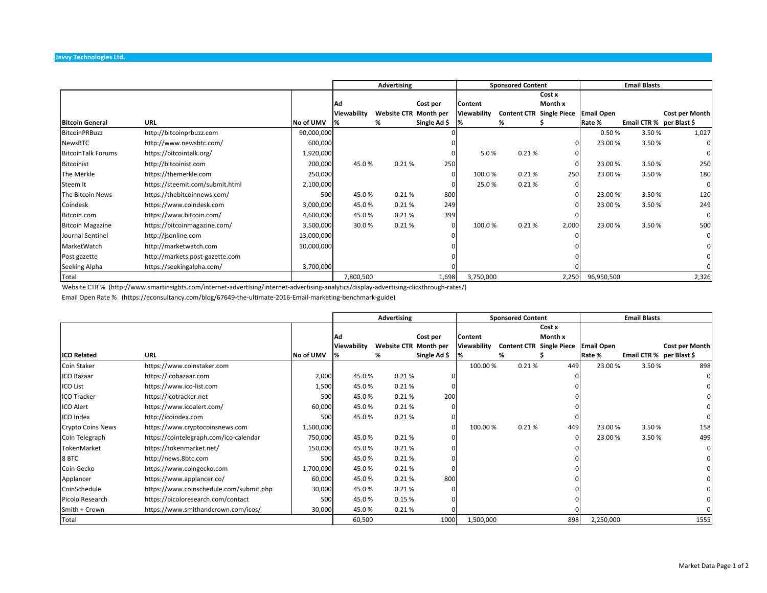|                           |                                 |            | Advertising |                       |              |             | <b>Sponsored Content</b>        |         | <b>Email Blasts</b> |                          |                |
|---------------------------|---------------------------------|------------|-------------|-----------------------|--------------|-------------|---------------------------------|---------|---------------------|--------------------------|----------------|
|                           |                                 |            |             |                       |              |             |                                 | Cost x  |                     |                          |                |
|                           |                                 |            | 'Ad         |                       | Cost per     | Content     |                                 | Month x |                     |                          |                |
|                           |                                 |            | Viewability | Website CTR Month per |              | Viewability | <b>Content CTR Single Piece</b> |         | <b>Email Open</b>   |                          | Cost per Month |
| <b>Bitcoin General</b>    | URL                             | No of UMV  | 1%          | %                     | Single Ad \$ | 1%          | %                               |         | Rate %              | Email CTR % per Blast \$ |                |
| <b>BitcoinPRBuzz</b>      | http://bitcoinprbuzz.com        | 90,000,000 |             |                       |              |             |                                 |         | 0.50%               | 3.50%                    | 1,027          |
| NewsBTC                   | http://www.newsbtc.com/         | 600,000    |             |                       |              |             |                                 |         | 23.00%              | 3.50%                    |                |
| <b>BitcoinTalk Forums</b> | https://bitcointalk.org/        | 1,920,000  |             |                       |              | 5.0%        | 0.21%                           |         |                     |                          | O              |
| <b>Bitcoinist</b>         | http://bitcoinist.com           | 200,000    | 45.0%       | 0.21%                 | 250          |             |                                 |         | 23.00 %             | 3.50%                    | 250            |
| The Merkle                | https://themerkle.com           | 250,000    |             |                       |              | 100.0%      | 0.21%                           | 250     | 23.00%              | 3.50%                    | 180            |
| Steem It                  | https://steemit.com/submit.html | 2,100,000  |             |                       |              | 25.0%       | 0.21%                           |         |                     |                          | 0              |
| The Bitcoin News          | https://thebitcoinnews.com/     | 500        | 45.0%       | 0.21%                 | 800          |             |                                 |         | 23.00%              | 3.50%                    | 120            |
| Coindesk                  | https://www.coindesk.com        | 3,000,000  | 45.0%       | 0.21%                 | 249          |             |                                 |         | 23.00 %             | 3.50%                    | 249            |
| Bitcoin.com               | https://www.bitcoin.com/        | 4,600,000  | 45.0%       | 0.21%                 | 399          |             |                                 |         |                     |                          | 0              |
| <b>Bitcoin Magazine</b>   | https://bitcoinmagazine.com/    | 3,500,000  | 30.0%       | 0.21%                 |              | 100.0%      | 0.21%                           | 2,000   | 23.00%              | 3.50%                    | 500            |
| Journal Sentinel          | http://jsonline.com             | 13,000,000 |             |                       |              |             |                                 |         |                     |                          | 0              |
| MarketWatch               | http://marketwatch.com          | 10,000,000 |             |                       |              |             |                                 |         |                     |                          |                |
| Post gazette              | http://markets.post-gazette.com |            |             |                       |              |             |                                 |         |                     |                          |                |
| Seeking Alpha             | https://seekingalpha.com/       | 3,700,000  |             |                       |              |             |                                 |         |                     |                          |                |
| Total                     |                                 |            | 7,800,500   |                       | 1,698        | 3,750,000   |                                 | 2,250   | 96,950,500          |                          | 2,326          |

Website CTR % (http://www.smartinsights.com/internet-advertising/internet-advertising-analytics/display-advertising-clickthrough-rates/)

Email Open Rate % (https://econsultancy.com/blog/67649‐the‐ultimate‐2016‐Email‐marketing‐benchmark‐guide)

|                          |                                         |           | Advertising |                       |              |             | <b>Sponsored Content</b> |                                 | <b>Email Blasts</b> |                          |                |
|--------------------------|-----------------------------------------|-----------|-------------|-----------------------|--------------|-------------|--------------------------|---------------------------------|---------------------|--------------------------|----------------|
|                          |                                         |           |             |                       |              |             |                          | Cost x                          |                     |                          |                |
|                          |                                         |           | Ad          |                       | Cost per     | Content     |                          | Month x                         |                     |                          |                |
|                          |                                         |           | Viewability | Website CTR Month per |              | Viewability |                          | <b>Content CTR Single Piece</b> | <b>Email Open</b>   |                          | Cost per Month |
| <b>ICO Related</b>       | <b>URL</b>                              | No of UMV |             | %                     | Single Ad \$ |             | %                        |                                 | Rate %              | Email CTR % per Blast \$ |                |
| Coin Staker              | https://www.coinstaker.com              |           |             |                       |              | 100.00%     | 0.21%                    | 449                             | 23.00%              | 3.50%                    | 898            |
| ICO Bazaar               | https://icobazaar.com                   | 2,000     | 45.0%       | 0.21%                 |              |             |                          |                                 |                     |                          |                |
| <b>ICO List</b>          | https://www.ico-list.com                | 1,500     | 45.0%       | 0.21%                 |              |             |                          |                                 |                     |                          |                |
| <b>ICO Tracker</b>       | https://icotracker.net                  | 500       | 45.0%       | 0.21%                 | 200          |             |                          |                                 |                     |                          |                |
| <b>ICO Alert</b>         | https://www.icoalert.com/               | 60,000    | 45.0%       | 0.21%                 |              |             |                          |                                 |                     |                          |                |
| <b>ICO</b> Index         | http://icoindex.com                     | 500       | 45.0%       | 0.21%                 |              |             |                          |                                 |                     |                          |                |
| <b>Crypto Coins News</b> | https://www.cryptocoinsnews.com         | 1,500,000 |             |                       |              | 100.00%     | 0.21%                    | 449                             | 23.00 %             | 3.50%                    | 158            |
| Coin Telegraph           | https://cointelegraph.com/ico-calendar  | 750,000   | 45.0%       | 0.21%                 |              |             |                          |                                 | 23.00%              | 3.50%                    | 499            |
| TokenMarket              | https://tokenmarket.net/                | 150,000   | 45.0%       | 0.21%                 |              |             |                          |                                 |                     |                          |                |
| 8 BTC                    | http://news.8btc.com                    | 500       | 45.0%       | 0.21%                 |              |             |                          |                                 |                     |                          |                |
| Coin Gecko               | https://www.coingecko.com               | 1,700,000 | 45.0%       | 0.21%                 |              |             |                          |                                 |                     |                          |                |
| Applancer                | https://www.applancer.co/               | 60,000    | 45.0%       | 0.21%                 | 800          |             |                          |                                 |                     |                          |                |
| CoinSchedule             | https://www.coinschedule.com/submit.php | 30,000    | 45.0%       | 0.21%                 |              |             |                          |                                 |                     |                          |                |
| Picolo Research          | https://picoloresearch.com/contact      | 500       | 45.0%       | 0.15%                 |              |             |                          |                                 |                     |                          |                |
| Smith + Crown            | https://www.smithandcrown.com/icos/     | 30,000    | 45.0%       | 0.21%                 |              |             |                          |                                 |                     |                          |                |
| Total                    |                                         |           | 60,500      |                       | 1000         | 1,500,000   |                          | 898                             | 2,250,000           |                          | 1555           |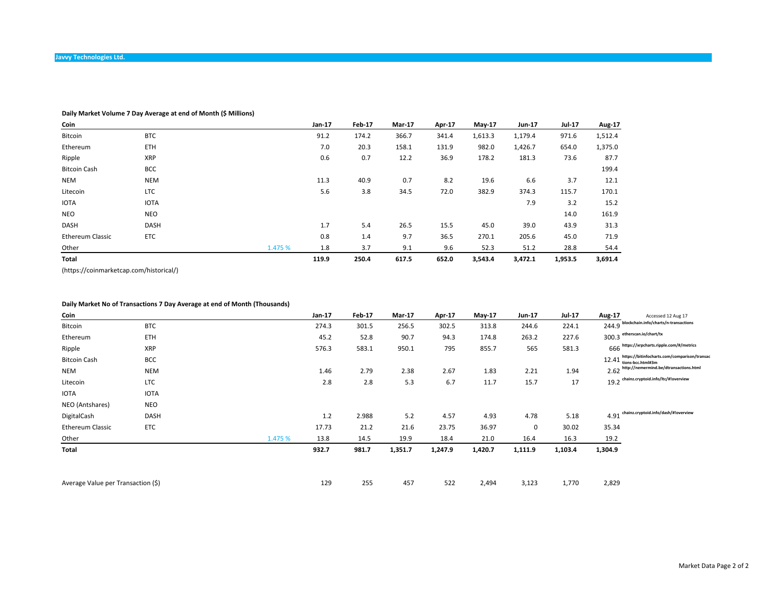## **Daily Market Volume 7 Day Average at end of Month (\$ Millions)**

| Coin                    |             |         | Jan-17 | Feb-17 | Mar-17 | Apr-17 | $Mav-17$ | Jun-17  | <b>Jul-17</b> | Aug-17  |
|-------------------------|-------------|---------|--------|--------|--------|--------|----------|---------|---------------|---------|
| Bitcoin                 | <b>BTC</b>  |         | 91.2   | 174.2  | 366.7  | 341.4  | 1,613.3  | 1,179.4 | 971.6         | 1,512.4 |
| Ethereum                | <b>ETH</b>  |         | 7.0    | 20.3   | 158.1  | 131.9  | 982.0    | 1,426.7 | 654.0         | 1,375.0 |
| Ripple                  | <b>XRP</b>  |         | 0.6    | 0.7    | 12.2   | 36.9   | 178.2    | 181.3   | 73.6          | 87.7    |
| <b>Bitcoin Cash</b>     | <b>BCC</b>  |         |        |        |        |        |          |         |               | 199.4   |
| <b>NEM</b>              | <b>NEM</b>  |         | 11.3   | 40.9   | 0.7    | 8.2    | 19.6     | 6.6     | 3.7           | 12.1    |
| Litecoin                | LTC         |         | 5.6    | 3.8    | 34.5   | 72.0   | 382.9    | 374.3   | 115.7         | 170.1   |
| <b>IOTA</b>             | <b>IOTA</b> |         |        |        |        |        |          | 7.9     | 3.2           | 15.2    |
| <b>NEO</b>              | <b>NEO</b>  |         |        |        |        |        |          |         | 14.0          | 161.9   |
| DASH                    | <b>DASH</b> |         | 1.7    | 5.4    | 26.5   | 15.5   | 45.0     | 39.0    | 43.9          | 31.3    |
| <b>Ethereum Classic</b> | <b>ETC</b>  |         | 0.8    | 1.4    | 9.7    | 36.5   | 270.1    | 205.6   | 45.0          | 71.9    |
| Other                   |             | 1.475 % | 1.8    | 3.7    | 9.1    | 9.6    | 52.3     | 51.2    | 28.8          | 54.4    |
| Total                   |             |         | 119.9  | 250.4  | 617.5  | 652.0  | 3,543.4  | 3,472.1 | 1,953.5       | 3,691.4 |

(https://coinmarketcap.com/historical/)

## **Daily Market No of Transactions 7 Day Average at end of Month (Thousands)**

| Coin                               |             |         | Jan-17 | <b>Feb-17</b> | <b>Mar-17</b> | Apr-17  | $May-17$ | Jun-17  | <b>Jul-17</b> | Aug-17  | Accessed 12 Aug 17                                                        |
|------------------------------------|-------------|---------|--------|---------------|---------------|---------|----------|---------|---------------|---------|---------------------------------------------------------------------------|
| Bitcoin                            | <b>BTC</b>  |         | 274.3  | 301.5         | 256.5         | 302.5   | 313.8    | 244.6   | 224.1         |         | 244.9 blockchain.info/charts/n-transactions                               |
| Ethereum                           | ETH         |         | 45.2   | 52.8          | 90.7          | 94.3    | 174.8    | 263.2   | 227.6         |         | $300.3$ <sup>etherscan.io/chart/tx</sup>                                  |
| Ripple                             | <b>XRP</b>  |         | 576.3  | 583.1         | 950.1         | 795     | 855.7    | 565     | 581.3         |         | 666 https://xrpcharts.ripple.com/#/metrics                                |
| <b>Bitcoin Cash</b>                | BCC         |         |        |               |               |         |          |         |               |         | https://bitinfocharts.com/comparison/transae<br>$12.41$ tions-bcc.html#3m |
| <b>NEM</b>                         | <b>NEM</b>  |         | 1.46   | 2.79          | 2.38          | 2.67    | 1.83     | 2.21    | 1.94          |         | http://nemermind.be/dtransactions.html<br>2.62                            |
| Litecoin                           | <b>LTC</b>  |         | 2.8    | 2.8           | 5.3           | 6.7     | 11.7     | 15.7    | 17            |         | $19.2$ chainz.cryptoid.info/ltc/#loverview                                |
| <b>IOTA</b>                        | <b>IOTA</b> |         |        |               |               |         |          |         |               |         |                                                                           |
| NEO (Antshares)                    | <b>NEO</b>  |         |        |               |               |         |          |         |               |         |                                                                           |
| DigitalCash                        | <b>DASH</b> |         | 1.2    | 2.988         | 5.2           | 4.57    | 4.93     | 4.78    | 5.18          |         | $4.91$ chainz.cryptoid.info/dash/#!overview                               |
| <b>Ethereum Classic</b>            | <b>ETC</b>  |         | 17.73  | 21.2          | 21.6          | 23.75   | 36.97    | 0       | 30.02         | 35.34   |                                                                           |
| Other                              |             | 1.475 % | 13.8   | 14.5          | 19.9          | 18.4    | 21.0     | 16.4    | 16.3          | 19.2    |                                                                           |
| Total                              |             |         | 932.7  | 981.7         | 1,351.7       | 1,247.9 | 1,420.7  | 1,111.9 | 1,103.4       | 1,304.9 |                                                                           |
|                                    |             |         |        |               |               |         |          |         |               |         |                                                                           |
| Average Value per Transaction (\$) |             |         | 129    | 255           | 457           | 522     | 2,494    | 3,123   | 1,770         | 2,829   |                                                                           |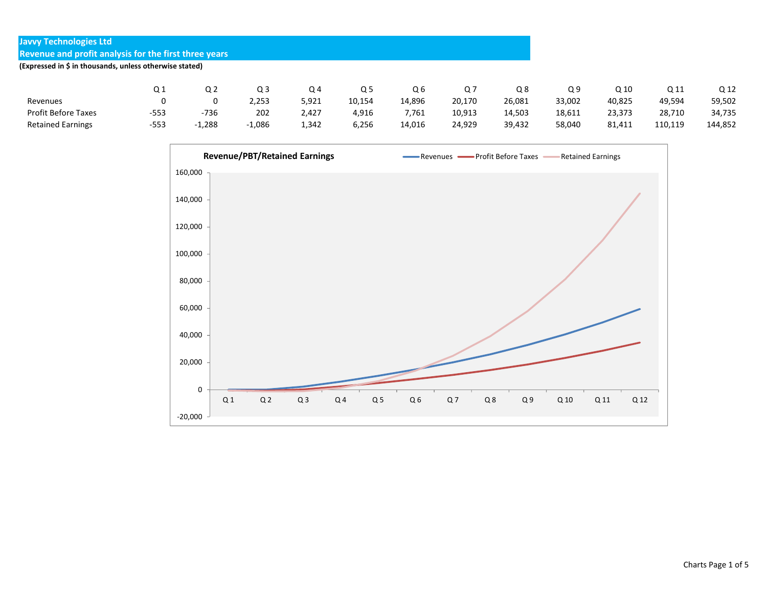| <b>Javyy Technologies Ltd</b>                           |        |          |          |       |        |        |        |        |        |        |         |         |
|---------------------------------------------------------|--------|----------|----------|-------|--------|--------|--------|--------|--------|--------|---------|---------|
| Revenue and profit analysis for the first three years   |        |          |          |       |        |        |        |        |        |        |         |         |
| (Expressed in \$ in thousands, unless otherwise stated) |        |          |          |       |        |        |        |        |        |        |         |         |
|                                                         |        |          |          |       |        |        |        |        |        |        |         |         |
|                                                         | Q1     | Q2       | Q3       | Q4    | Q5     | Q6     | Q 7    | Q8     | Q9     | Q 10   | Q 11    | Q 12    |
| Revenues                                                | 0      | 0        | 2.253    | 5,921 | 10,154 | 14,896 | 20,170 | 26,081 | 33,002 | 40,825 | 49,594  | 59,502  |
| <b>Profit Before Taxes</b>                              | $-553$ | -736     | 202      | 2,427 | 4,916  | 7,761  | 10,913 | 14,503 | 18,611 | 23,373 | 28,710  | 34,735  |
| <b>Retained Earnings</b>                                | $-553$ | $-1,288$ | $-1,086$ | 1,342 | 6,256  | 14,016 | 24,929 | 39,432 | 58,040 | 81,411 | 110,119 | 144.852 |

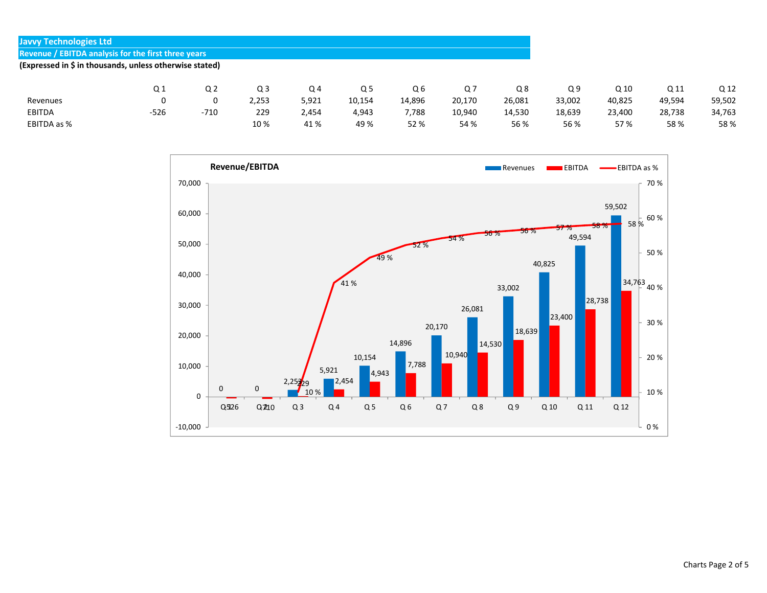| Q 12   |
|--------|
| 59,502 |
| 34,763 |
| 58%    |
|        |

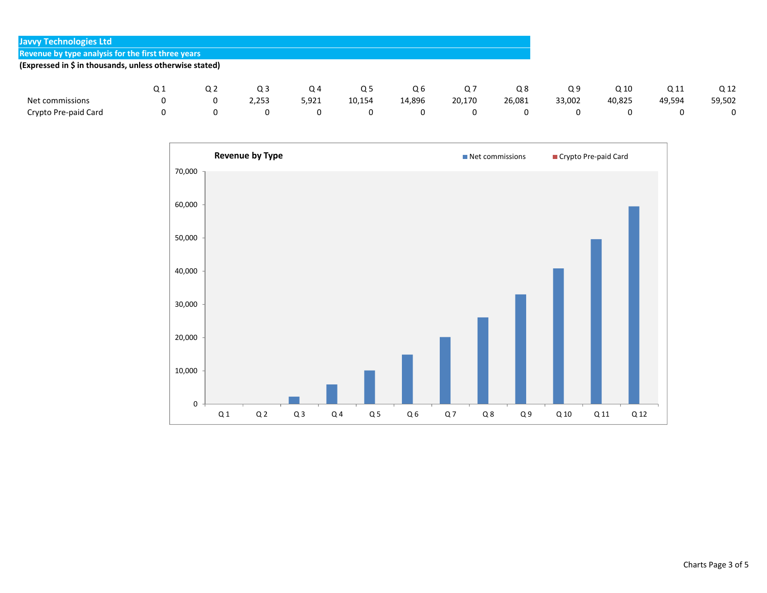| <b>Javvy Technologies Ltd</b>                           |                |    |       |       |        |        |        |        |        |        |        |        |
|---------------------------------------------------------|----------------|----|-------|-------|--------|--------|--------|--------|--------|--------|--------|--------|
| Revenue by type analysis for the first three years      |                |    |       |       |        |        |        |        |        |        |        |        |
| (Expressed in \$ in thousands, unless otherwise stated) |                |    |       |       |        |        |        |        |        |        |        |        |
|                                                         |                |    |       |       |        |        |        |        |        |        |        |        |
|                                                         | Q <sub>1</sub> | Q2 | Q3    | Q4    | Q 5    | Q6     | Q 7    | Q8     | Q9     | Q 10   | Q 11   | Q 12   |
| Net commissions                                         |                | 0  | 2,253 | 5,921 | 10,154 | 14,896 | 20,170 | 26,081 | 33,002 | 40,825 | 49,594 | 59,502 |
| Crypto Pre-paid Card                                    |                |    | 0     |       | 0      | 0      | 0      | 0      |        |        |        | 0      |

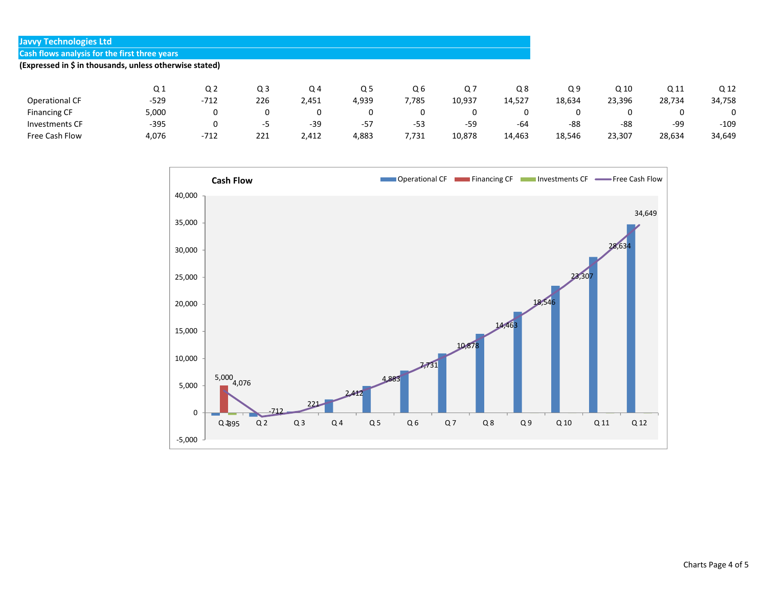| <b>Javyy Technologies Ltd</b>                           |                |                |     |       |       |                |        |        |                |                 |        |        |
|---------------------------------------------------------|----------------|----------------|-----|-------|-------|----------------|--------|--------|----------------|-----------------|--------|--------|
| <b>Cash flows analysis for the first three years</b>    |                |                |     |       |       |                |        |        |                |                 |        |        |
| (Expressed in \$ in thousands, unless otherwise stated) |                |                |     |       |       |                |        |        |                |                 |        |        |
|                                                         |                |                |     |       |       |                |        |        |                |                 |        |        |
|                                                         | Q <sub>1</sub> | Q <sub>2</sub> | Q3  | Q4    | Q5    | Q <sub>6</sub> | Q7     | Q8     | Q <sub>9</sub> | Q <sub>10</sub> | Q 11   | Q 12   |
| Operational CF                                          | $-529$         | $-712$         | 226 | 2,451 | 4,939 | 7,785          | 10,937 | 14,527 | 18,634         | 23,396          | 28,734 | 34,758 |
| <b>Financing CF</b>                                     | 5,000          | 0              | 0   | 0     | 0     | 0              | 0      |        |                | 0               | 0      | 0      |
| <b>Investments CF</b>                                   | $-395$         | 0              | -5  | $-39$ | $-57$ | $-53$          | -59    | -64    | -88            | -88             | -99    | $-109$ |
| Free Cash Flow                                          | 4,076          | $-712$         | 221 | 2,412 | 4,883 | 7,731          | 10,878 | 14,463 | 18,546         | 23,307          | 28,634 | 34,649 |

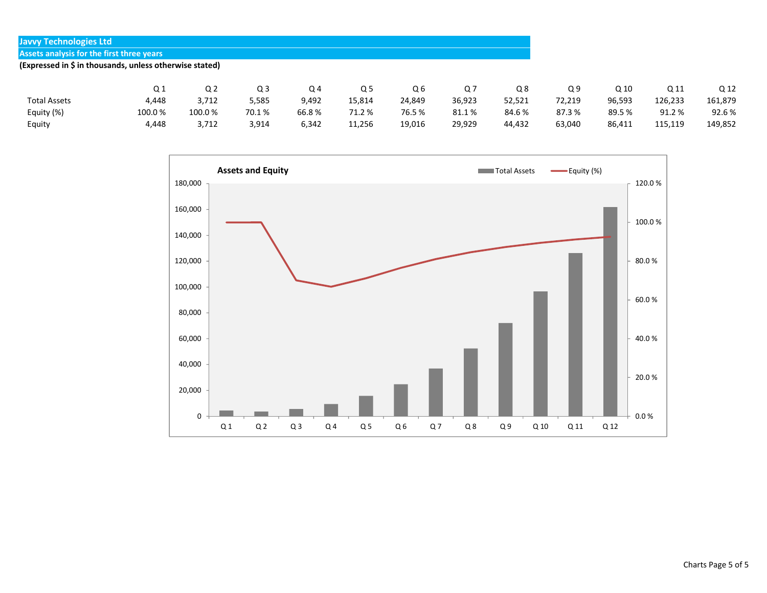| <b>Javyy Technologies Ltd</b>                           |        |        |       |       |                |        |        |        |        |        |         |         |
|---------------------------------------------------------|--------|--------|-------|-------|----------------|--------|--------|--------|--------|--------|---------|---------|
| Assets analysis for the first three years               |        |        |       |       |                |        |        |        |        |        |         |         |
| (Expressed in \$ in thousands, unless otherwise stated) |        |        |       |       |                |        |        |        |        |        |         |         |
|                                                         |        |        |       |       |                |        |        |        |        |        |         |         |
|                                                         | Q1     | Q2     | Q3    | Q4    | Q <sub>5</sub> | Q6     | Q7     | Q8     | Q9     | Q 10   | Q 11    | Q 12    |
| <b>Total Assets</b>                                     | 4.448  | 3,712  | 5,585 | 9,492 | 15,814         | 24,849 | 36,923 | 52,521 | 72,219 | 96,593 | 126,233 | 161,879 |
| Equity (%)                                              | 100.0% | 100.0% | 70.1% | 66.8% | 71.2 %         | 76.5%  | 81.1%  | 84.6%  | 87.3%  | 89.5 % | 91.2%   | 92.6%   |
| Equity                                                  | 4,448  | 3,712  | 3,914 | 6,342 | 11,256         | 19,016 | 29,929 | 44,432 | 63,040 | 86,411 | 115,119 | 149,852 |